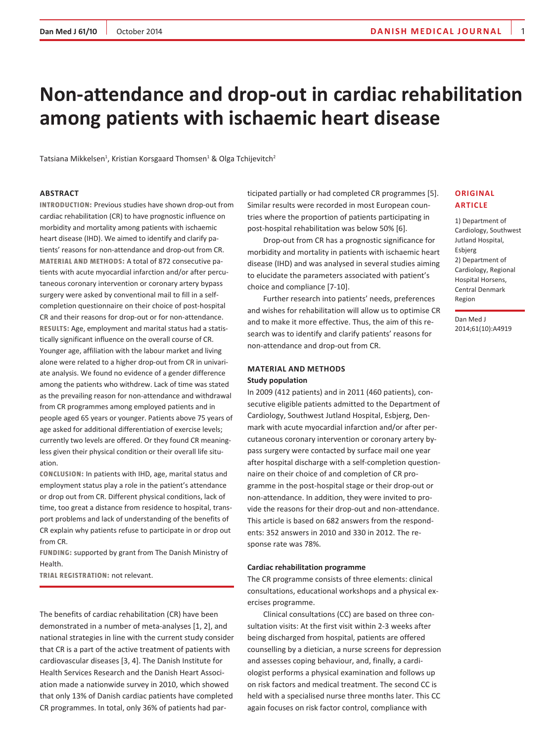# **Non-attendance and drop-out in cardiac rehabilitation among patients with ischaemic heart disease**

Tatsiana Mikkelsen<sup>1</sup>, Kristian Korsgaard Thomsen<sup>1</sup> & Olga Tchijevitch<sup>2</sup>

#### **Abstract**

**Introduction:** Previous studies have shown drop-out from cardiac rehabilitation (CR) to have prognostic influence on morbidity and mortality among patients with ischaemic heart disease (IHD). We aimed to identify and clarify patients' reasons for non-attendance and drop-out from CR. **Material and methods:** A total of 872 consecutive patients with acute myocardial infarction and/or after percutaneous coronary intervention or coronary artery bypass surgery were asked by conventional mail to fill in a selfcompletion questionnaire on their choice of post-hospital CR and their reasons for drop-out or for non-attendance. **Results:** Age, employment and marital status had a statistically significant influence on the overall course of CR. Younger age, affiliation with the labour market and living alone were related to a higher drop-out from CR in univariate analysis. We found no evidence of a gender difference among the patients who withdrew. Lack of time was stated as the prevailing reason for non-attendance and withdrawal from CR programmes among employed patients and in people aged 65 years or younger. Patients above 75 years of age asked for additional differentiation of exercise levels; currently two levels are offered. Or they found CR meaningless given their physical condition or their overall life situation.

**Conclusion:** In patients with IHD, age, marital status and employment status play a role in the patient's attendance or drop out from CR. Different physical conditions, lack of time, too great a distance from residence to hospital, transport problems and lack of understanding of the benefits of CR explain why patients refuse to participate in or drop out from CR.

**Funding:** supported by grant from The Danish Ministry of Health.

**Trial registration:** not relevant.

The benefits of cardiac rehabilitation (CR) have been demonstrated in a number of meta-analyses [1, 2], and national strategies in line with the current study consider that CR is a part of the active treatment of patients with cardiovascular diseases [3, 4]. The Danish Institute for Health Services Research and the Danish Heart Association made a nationwide survey in 2010, which showed that only 13% of Danish cardiac patients have completed CR programmes. In total, only 36% of patients had participated partially or had completed CR programmes [5]. Similar results were recorded in most European countries where the proportion of patients participating in post-hospital rehabilitation was below 50% [6].

Drop-out from CR has a prognostic significance for morbidity and mortality in patients with ischaemic heart disease (IHD) and was analysed in several studies aiming to elucidate the parameters associated with patient's choice and compliance [7-10].

Further research into patients' needs, preferences and wishes for rehabilitation will allow us to optimise CR and to make it more effective. Thus, the aim of this research was to identify and clarify patients' reasons for non-attendance and drop-out from CR.

## **Material and methods Study population**

In 2009 (412 patients) and in 2011 (460 patients), consecutive eligible patients admitted to the Department of Cardiology, Southwest Jutland Hospital, Esbjerg, Denmark with acute myocardial infarction and/or after percutaneous coronary intervention or coronary artery bypass surgery were contacted by surface mail one year after hospital discharge with a self-completion questionnaire on their choice of and completion of CR programme in the post-hospital stage or their drop-out or non-attendance. In addition, they were invited to provide the reasons for their drop-out and non-attendance. This article is based on 682 answers from the respondents: 352 answers in 2010 and 330 in 2012. The response rate was 78%.

#### **Cardiac rehabilitation programme**

The CR programme consists of three elements: clinical consultations, educational workshops and a physical exercises programme.

Clinical consultations (CC) are based on three consultation visits: At the first visit within 2-3 weeks after being discharged from hospital, patients are offered counselling by a dietician, a nurse screens for depression and assesses coping behaviour, and, finally, a cardiologist performs a physical examination and follows up on risk factors and medical treatment. The second CC is held with a specialised nurse three months later. This CC again focuses on risk factor control, compliance with

## **Original article**

1) Department of Cardiology, Southwest Jutland Hospital, Esbjerg 2) Department of Cardiology, Regional Hospital Horsens, Central Denmark Region

Dan Med J 2014;61(10):A4919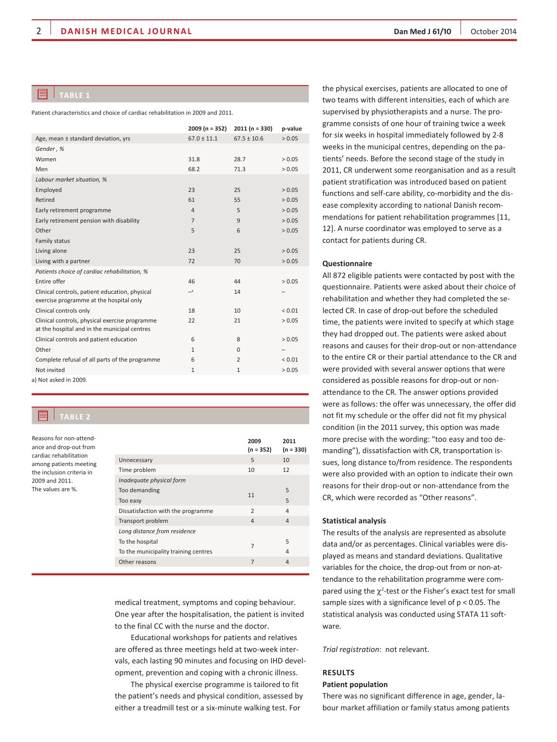## **TablE 1**

Patient characteristics and choice of cardiac rehabilitation in 2009 and 2011.

|                                                                                                | $2009(n = 352)$ | $2011(n = 330)$ | p-value     |
|------------------------------------------------------------------------------------------------|-----------------|-----------------|-------------|
| Age, mean ± standard deviation, yrs                                                            | $67.0 \pm 11.1$ | $67.5 \pm 10.6$ | > 0.05      |
| Gender, %                                                                                      |                 |                 |             |
| Women                                                                                          | 31.8            | 28.7            | > 0.05      |
| Men                                                                                            | 68.2            | 71.3            | > 0.05      |
| Labour market situation, %                                                                     |                 |                 |             |
| Employed                                                                                       | 23              | 25              | > 0.05      |
| Retired                                                                                        | 61              | 55              | > 0.05      |
| Early retirement programme                                                                     | $\overline{4}$  | 5               | > 0.05      |
| Early retirement pension with disability                                                       | $\overline{7}$  | 9               | > 0.05      |
| Other                                                                                          | 5               | 6               | > 0.05      |
| Family status                                                                                  |                 |                 |             |
| Living alone                                                                                   | 23              | 25              | > 0.05      |
| Living with a partner                                                                          | 72              | 70              | > 0.05      |
| Patients choice of cardiac rehabilitation, %                                                   |                 |                 |             |
| Entire offer                                                                                   | 46              | 44              | > 0.05      |
| Clinical controls, patient education, physical<br>exercise programme at the hospital only      | $=$ a           | 14              |             |
| Clinical controls only                                                                         | 18              | 10              | ${}_{0.01}$ |
| Clinical controls, physical exercise programme<br>at the hospital and in the municipal centres | 22              | 21              | > 0.05      |
| Clinical controls and patient education                                                        | 6               | 8               | > 0.05      |
| Other                                                                                          | $\mathbf{1}$    | $\Omega$        |             |
| Complete refusal of all parts of the programme                                                 | 6               | $\overline{2}$  | ${}_{0.01}$ |
| Not invited                                                                                    | $\mathbf{1}$    | $\mathbf{1}$    | > 0.05      |
| a) Not asked in 2009.                                                                          |                 |                 |             |

## **TablE 2**

Reasons for non-attendance and drop-out from cardiac rehabilitation among patients meeting the inclusion criteria in 2009 and 2011. The values are %.

|                                      | 2009<br>$(n = 352)$ | 2011<br>$(n = 330)$ |
|--------------------------------------|---------------------|---------------------|
| Unnecessary                          | 5                   | 10                  |
| Time problem                         | 10                  | 12                  |
| Inadequate physical form             |                     |                     |
| Too demanding                        | 11                  | 5                   |
| Too easy                             |                     | 5                   |
| Dissatisfaction with the programme   | $\mathcal{P}$       | $\Delta$            |
| Transport problem                    | $\overline{4}$      | $\Delta$            |
| Long distance from residence         |                     |                     |
| To the hospital                      | 7                   | 5                   |
| To the municipality training centres |                     | $\Delta$            |
| Other reasons                        | $\overline{7}$      | $\overline{4}$      |

medical treatment, symptoms and coping behaviour. One year after the hospitalisation, the patient is invited to the final CC with the nurse and the doctor.

Educational workshops for patients and relatives are offered as three meetings held at two-week intervals, each lasting 90 minutes and focusing on IHD development, prevention and coping with a chronic illness.

The physical exercise programme is tailored to fit the patient's needs and physical condition, assessed by either a treadmill test or a six-minute walking test. For

the physical exercises, patients are allocated to one of two teams with different intensities, each of which are supervised by physiotherapists and a nurse. The programme consists of one hour of training twice a week for six weeks in hospital immediately followed by 2-8 weeks in the municipal centres, depending on the patients' needs. Before the second stage of the study in 2011, CR underwent some reorganisation and as a result patient stratification was introduced based on patient functions and self-care ability, co-morbidity and the disease complexity according to national Danish recommendations for patient rehabilitation programmes [11, 12]. A nurse coordinator was employed to serve as a contact for patients during CR.

#### **Questionnaire**

All 872 eligible patients were contacted by post with the questionnaire. Patients were asked about their choice of rehabilitation and whether they had completed the selected CR. In case of drop-out before the scheduled time, the patients were invited to specify at which stage they had dropped out. The patients were asked about reasons and causes for their drop-out or non-attendance to the entire CR or their partial attendance to the CR and were provided with several answer options that were considered as possible reasons for drop-out or nonattendance to the CR. The answer options provided were as follows: the offer was unnecessary, the offer did not fit my schedule or the offer did not fit my physical condition (in the 2011 survey, this option was made more precise with the wording: "too easy and too demanding"), dissatisfaction with CR, transportation issues, long distance to/from residence. The respondents were also provided with an option to indicate their own reasons for their drop-out or non-attendance from the CR, which were recorded as "Other reasons".

#### **Statistical analysis**

The results of the analysis are represented as absolute data and/or as percentages. Clinical variables were displayed as means and standard deviations. Qualitative variables for the choice, the drop-out from or non-attendance to the rehabilitation programme were compared using the  $\chi^2$ -test or the Fisher's exact test for small sample sizes with a significance level of p < 0.05. The statistical analysis was conducted using STATA 11 software.

*Trial registration*: not relevant.

## **Results**

### **Patient population**

There was no significant difference in age, gender, labour market affiliation or family status among patients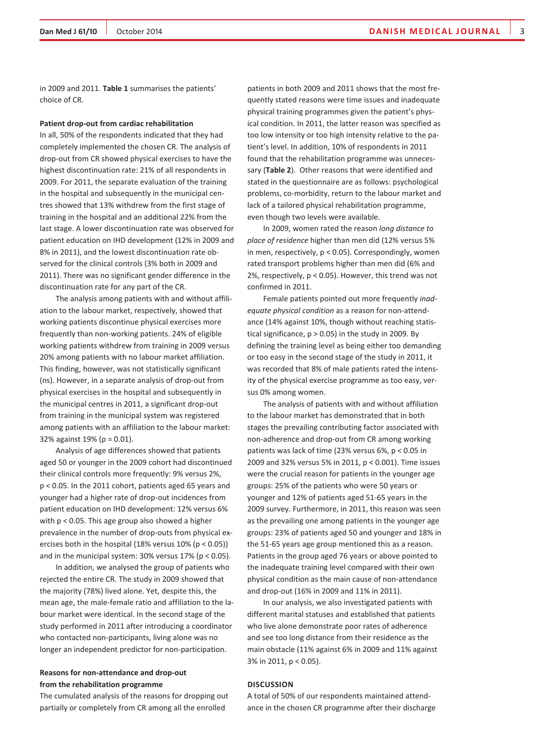in 2009 and 2011. **Table 1** summarises the patients' choice of CR.

#### **Patient drop-out from cardiac rehabilitation**

In all, 50% of the respondents indicated that they had completely implemented the chosen CR. The analysis of drop-out from CR showed physical exercises to have the highest discontinuation rate: 21% of all respondents in 2009. For 2011, the separate evaluation of the training in the hospital and subsequently in the municipal centres showed that 13% withdrew from the first stage of training in the hospital and an additional 22% from the last stage. A lower discontinuation rate was observed for patient education on IHD development (12% in 2009 and 8% in 2011), and the lowest discontinuation rate observed for the clinical controls (3% both in 2009 and 2011). There was no significant gender difference in the discontinuation rate for any part of the CR.

The analysis among patients with and without affiliation to the labour market, respectively, showed that working patients discontinue physical exercises more frequently than non-working patients. 24% of eligible working patients withdrew from training in 2009 versus 20% among patients with no labour market affiliation. This finding, however, was not statistically significant (ns). However, in a separate analysis of drop-out from physical exercises in the hospital and subsequently in the municipal centres in 2011, a significant drop-out from training in the municipal system was registered among patients with an affiliation to the labour market: 32% against 19% (p = 0.01).

Analysis of age differences showed that patients aged 50 or younger in the 2009 cohort had discontinued their clinical controls more frequently: 9% versus 2%, p < 0.05. In the 2011 cohort, patients aged 65 years and younger had a higher rate of drop-out incidences from patient education on IHD development: 12% versus 6% with p < 0.05. This age group also showed a higher prevalence in the number of drop-outs from physical exercises both in the hospital (18% versus 10% (p < 0.05)) and in the municipal system:  $30\%$  versus  $17\%$  (p < 0.05).

In addition, we analysed the group of patients who rejected the entire CR. The study in 2009 showed that the majority (78%) lived alone. Yet, despite this, the mean age, the male-female ratio and affiliation to the labour market were identical. In the second stage of the study performed in 2011 after introducing a coordinator who contacted non-participants, living alone was no longer an independent predictor for non-participation.

## **Reasons for non-attendance and drop-out from the rehabilitation programme**

The cumulated analysis of the reasons for dropping out partially or completely from CR among all the enrolled

patients in both 2009 and 2011 shows that the most frequently stated reasons were time issues and inadequate physical training programmes given the patient's physical condition. In 2011, the latter reason was specified as too low intensity or too high intensity relative to the patient's level. In addition, 10% of respondents in 2011 found that the rehabilitation programme was unnecessary (**Table 2**). Other reasons that were identified and stated in the questionnaire are as follows: psychological problems, co-morbidity, return to the labour market and lack of a tailored physical rehabilitation programme, even though two levels were available.

In 2009, women rated the reason *long distance to place of residence* higher than men did (12% versus 5% in men, respectively, p < 0.05). Correspondingly, women rated transport problems higher than men did (6% and 2%, respectively, p < 0.05). However, this trend was not confirmed in 2011.

Female patients pointed out more frequently *inadequate physical condition* as a reason for non-attendance (14% against 10%, though without reaching statistical significance,  $p > 0.05$ ) in the study in 2009. By defining the training level as being either too demanding or too easy in the second stage of the study in 2011, it was recorded that 8% of male patients rated the intensity of the physical exercise programme as too easy, versus 0% among women.

The analysis of patients with and without affiliation to the labour market has demonstrated that in both stages the prevailing contributing factor associated with non-adherence and drop-out from CR among working patients was lack of time (23% versus 6%, p < 0.05 in 2009 and 32% versus 5% in 2011, p < 0.001). Time issues were the crucial reason for patients in the younger age groups: 25% of the patients who were 50 years or younger and 12% of patients aged 51-65 years in the 2009 survey. Furthermore, in 2011, this reason was seen as the prevailing one among patients in the younger age groups: 23% of patients aged 50 and younger and 18% in the 51-65 years age group mentioned this as a reason. Patients in the group aged 76 years or above pointed to the inadequate training level compared with their own physical condition as the main cause of non-attendance and drop-out (16% in 2009 and 11% in 2011).

In our analysis, we also investigated patients with different marital statuses and established that patients who live alone demonstrate poor rates of adherence and see too long distance from their residence as the main obstacle (11% against 6% in 2009 and 11% against 3% in 2011, p < 0.05).

#### **Discussion**

A total of 50% of our respondents maintained attendance in the chosen CR programme after their discharge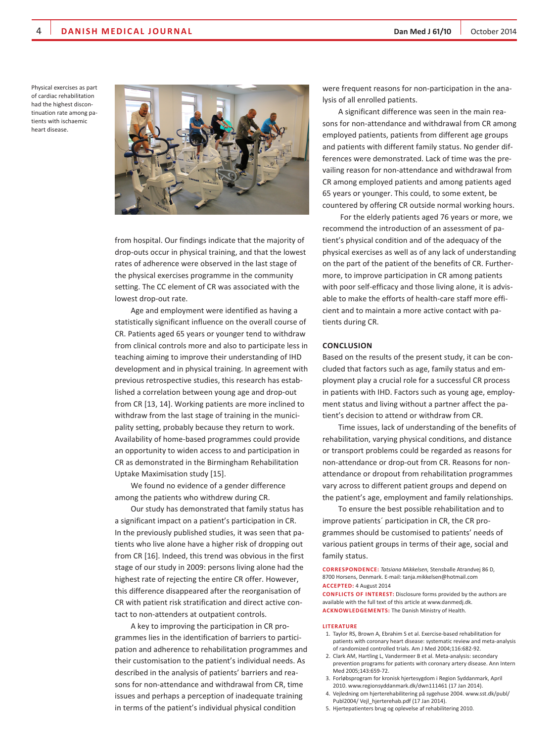Physical exercises as part of cardiac rehabilitation had the highest discontinuation rate among patients with ischaemic heart disease.



from hospital. Our findings indicate that the majority of drop-outs occur in physical training, and that the lowest rates of adherence were observed in the last stage of the physical exercises programme in the community setting. The CC element of CR was associated with the lowest drop-out rate.

Age and employment were identified as having a statistically significant influence on the overall course of CR. Patients aged 65 years or younger tend to withdraw from clinical controls more and also to participate less in teaching aiming to improve their understanding of IHD development and in physical training. In agreement with previous retrospective studies, this research has established a correlation between young age and drop-out from CR [13, 14]. Working patients are more inclined to withdraw from the last stage of training in the municipality setting, probably because they return to work. Availability of home-based programmes could provide an opportunity to widen access to and participation in CR as demonstrated in the Birmingham Rehabilitation Uptake Maximisation study [15].

We found no evidence of a gender difference among the patients who withdrew during CR.

Our study has demonstrated that family status has a significant impact on a patient's participation in CR. In the previously published studies, it was seen that patients who live alone have a higher risk of dropping out from CR [16]. Indeed, this trend was obvious in the first stage of our study in 2009: persons living alone had the highest rate of rejecting the entire CR offer. However, this difference disappeared after the reorganisation of CR with patient risk stratification and direct active contact to non-attenders at outpatient controls.

A key to improving the participation in CR programmes lies in the identification of barriers to participation and adherence to rehabilitation programmes and their customisation to the patient's individual needs. As described in the analysis of patients' barriers and reasons for non-attendance and withdrawal from CR, time issues and perhaps a perception of inadequate training in terms of the patient's individual physical condition

were frequent reasons for non-participation in the analysis of all enrolled patients.

A significant difference was seen in the main reasons for non-attendance and withdrawal from CR among employed patients, patients from different age groups and patients with different family status. No gender differences were demonstrated. Lack of time was the prevailing reason for non-attendance and withdrawal from CR among employed patients and among patients aged 65 years or younger. This could, to some extent, be countered by offering CR outside normal working hours.

 For the elderly patients aged 76 years or more, we recommend the introduction of an assessment of patient's physical condition and of the adequacy of the physical exercises as well as of any lack of understanding on the part of the patient of the benefits of CR. Furthermore, to improve participation in CR among patients with poor self-efficacy and those living alone, it is advisable to make the efforts of health-care staff more efficient and to maintain a more active contact with patients during CR.

#### **Conclusion**

Based on the results of the present study, it can be concluded that factors such as age, family status and employment play a crucial role for a successful CR process in patients with IHD. Factors such as young age, employment status and living without a partner affect the patient's decision to attend or withdraw from CR.

Time issues, lack of understanding of the benefits of rehabilitation, varying physical conditions, and distance or transport problems could be regarded as reasons for non-attendance or drop-out from CR. Reasons for nonattendance or dropout from rehabilitation programmes vary across to different patient groups and depend on the patient's age, employment and family relationships.

To ensure the best possible rehabilitation and to improve patients´ participation in CR, the CR programmes should be customised to patients' needs of various patient groups in terms of their age, social and family status.

**Correspondence:** *Tatsiana Mikkelsen,* Stensballe Atrandvej 86 D, 8700 Horsens, Denmark. E-mail: tanja.mikkelsen@hotmail.com **Accepted:** 4 August 2014

**CONFLICTS OF INTEREST:** Disclosure forms provided by the authors are available with the full text of this article at www.danmedj.dk. **Acknowledgements:** The Danish Ministry of Health.

#### **Literature**

- 1. Taylor RS, Brown A, Ebrahim S et al. Exercise-based rehabilitation for patients with coronary heart disease: systematic review and meta-analysis of randomized controlled trials. Am J Med 2004;116:682-92.
- 2. Clark AM, Hartling L, Vandermeer B et al. Meta-analysis: secondary prevention programs for patients with coronary artery disease. Ann Intern Med 2005;143:659-72.
- 3. Forløbsprogram for kronisk hjertesygdom i Region Syddanmark, April 2010. www.regionsyddanmark.dk/dwn111461 (17 Jan 2014).
- 4. Vejledning om hjerterehabilitering på sygehuse 2004. www.sst.dk/publ/ Publ2004/ Vejl\_hjerterehab.pdf (17 Jan 2014).
- 5. Hjertepatienters brug og oplevelse af rehabilitering 2010.